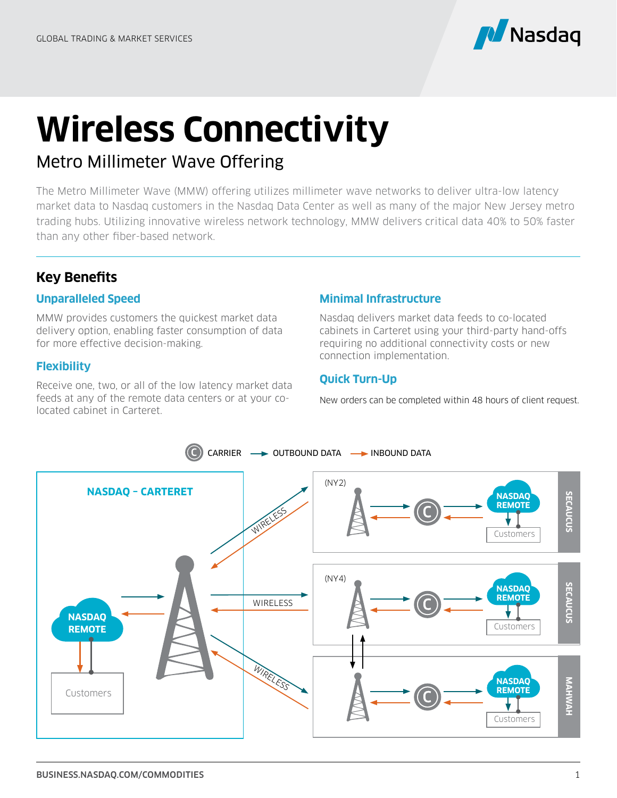

# **Wireless Connectivity**

# Metro Millimeter Wave Offering

The Metro Millimeter Wave (MMW) offering utilizes millimeter wave networks to deliver ultra-low latency market data to Nasdaq customers in the Nasdaq Data Center as well as many of the major New Jersey metro trading hubs. Utilizing innovative wireless network technology, MMW delivers critical data 40% to 50% faster than any other fiber-based network.

# **Key Benefits**

## **Unparalleled Speed**

MMW provides customers the quickest market data delivery option, enabling faster consumption of data for more effective decision-making.

## **Flexibility**

Receive one, two, or all of the low latency market data feeds at any of the remote data centers or at your colocated cabinet in Carteret.

## **Minimal Infrastructure**

Nasdaq delivers market data feeds to co-located cabinets in Carteret using your third-party hand-offs requiring no additional connectivity costs or new connection implementation.

## **Quick Turn-Up**

New orders can be completed within 48 hours of client request.